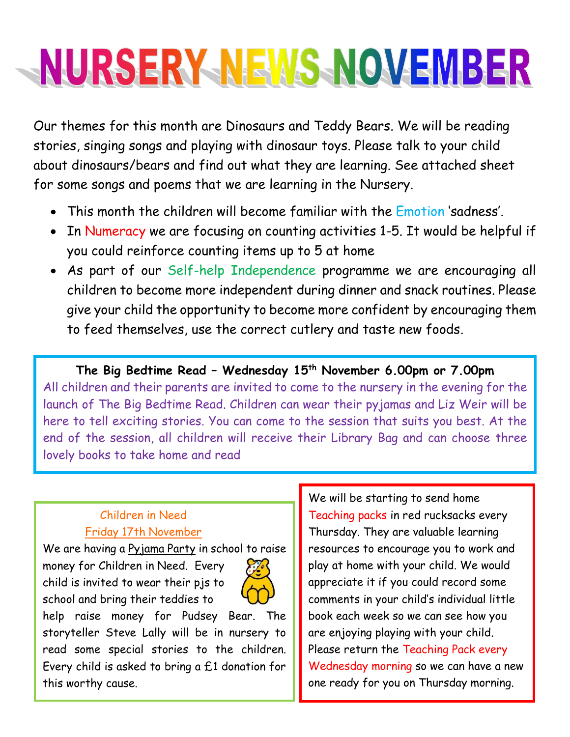## NURSERY-NEWS-NOVEMBER

Our themes for this month are Dinosaurs and Teddy Bears. We will be reading stories, singing songs and playing with dinosaur toys. Please talk to your child about dinosaurs/bears and find out what they are learning. See attached sheet for some songs and poems that we are learning in the Nursery.

- This month the children will become familiar with the Emotion 'sadness'.
- In Numeracy we are focusing on counting activities 1-5. It would be helpful if you could reinforce counting items up to 5 at home
- As part of our Self-help Independence programme we are encouraging all children to become more independent during dinner and snack routines. Please give your child the opportunity to become more confident by encouraging them to feed themselves, use the correct cutlery and taste new foods.

**The Big Bedtime Read – Wednesday 15th November 6.00pm or 7.00pm** All children and their parents are invited to come to the nursery in the evening for the launch of The Big Bedtime Read. Children can wear their pyjamas and Liz Weir will be here to tell exciting stories. You can come to the session that suits you best. At the end of the session, all children will receive their Library Bag and can choose three lovely books to take home and read

## Children in Need Friday 17th November

We are having a Pyjama Party in school to raise money for Children in Need. Every child is invited to wear their pjs to school and bring their teddies to



help raise money for Pudsey Bear. The storyteller Steve Lally will be in nursery to read some special stories to the children. Every child is asked to bring a £1 donation for this worthy cause.

We will be starting to send home Teaching packs in red rucksacks every Thursday. They are valuable learning resources to encourage you to work and play at home with your child. We would appreciate it if you could record some comments in your child's individual little book each week so we can see how you are enjoying playing with your child. Please return the Teaching Pack every Wednesday morning so we can have a new one ready for you on Thursday morning.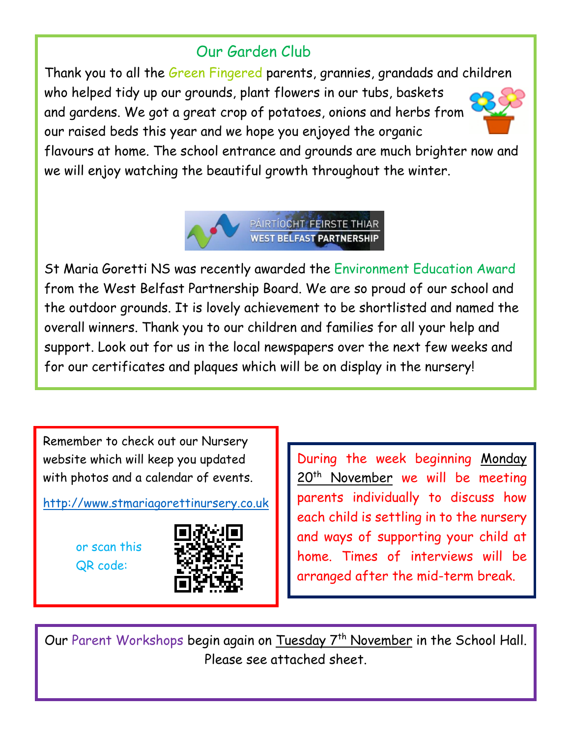## Our Garden Club

Thank you to all the Green Fingered parents, grannies, grandads and children who helped tidy up our grounds, plant flowers in our tubs, baskets and gardens. We got a great crop of potatoes, onions and herbs from our raised beds this year and we hope you enjoyed the organic



flavours at home. The school entrance and grounds are much brighter now and we will enjoy watching the beautiful growth throughout the winter.



St Maria Goretti NS was recently awarded the Environment Education Award from the West Belfast Partnership Board. We are so proud of our school and the outdoor grounds. It is lovely achievement to be shortlisted and named the overall winners. Thank you to our children and families for all your help and support. Look out for us in the local newspapers over the next few weeks and for our certificates and plaques which will be on display in the nursery!

Remember to check out our Nursery website which will keep you updated with photos and a calendar of events.

[http://www.stmariagorettinursery.co.uk](http://www.stmariagorettinursery.co.uk/)

or scan this QR code:



During the week beginning Monday 20<sup>th</sup> November we will be meeting parents individually to discuss how each child is settling in to the nursery and ways of supporting your child at home. Times of interviews will be arranged after the mid-term break.

Our Parent Workshops begin again on Tuesday 7<sup>th</sup> November in the School Hall. Please see attached sheet.